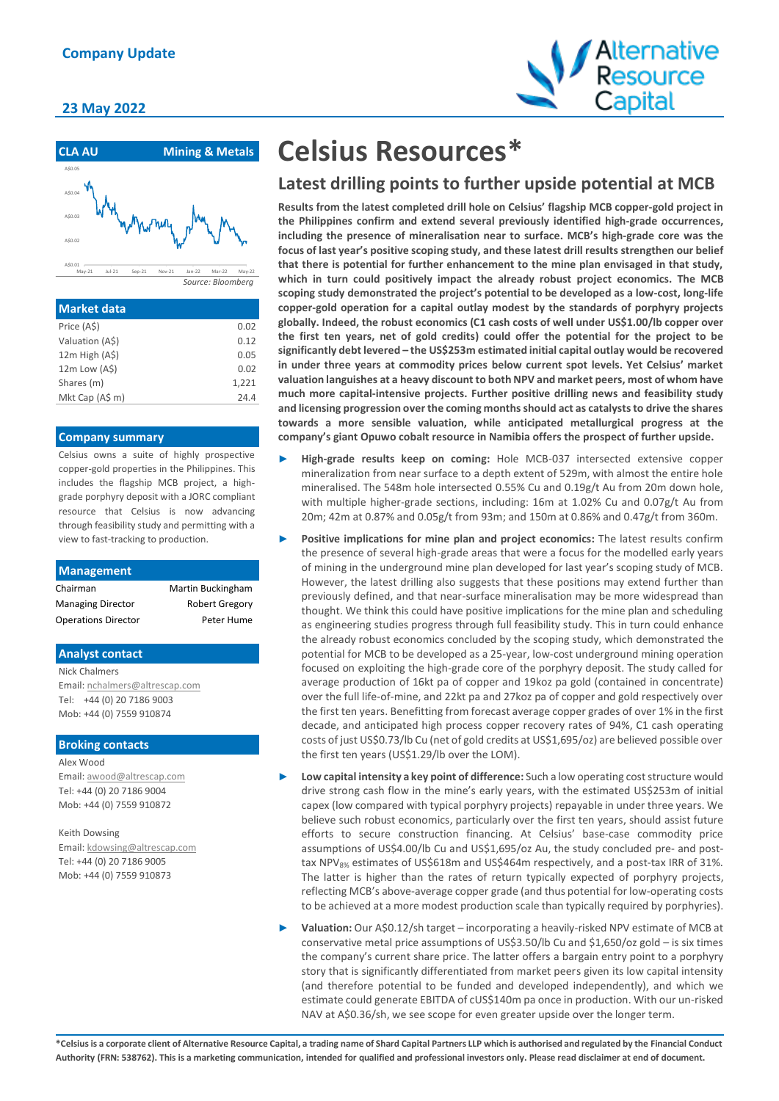### **23 May 2022**



| <b>Market data</b> |       |
|--------------------|-------|
| Price (A\$)        | 0.02  |
| Valuation (A\$)    | 0.12  |
| $12m$ High $(AS)$  | 0.05  |
| 12m Low (A\$)      | 0.02  |
| Shares (m)         | 1.221 |
| Mkt Cap (A\$ m)    | 24.4  |
|                    |       |

#### **Company summary**

Celsius owns a suite of highly prospective copper-gold properties in the Philippines. This includes the flagship MCB project, a highgrade porphyry deposit with a JORC compliant resource that Celsius is now advancing through feasibility study and permitting with a view to fast-tracking to production.

| <b>Management</b>          |                       |
|----------------------------|-----------------------|
| Chairman                   | Martin Buckingham     |
| <b>Managing Director</b>   | <b>Robert Gregory</b> |
| <b>Operations Director</b> | Peter Hume            |
|                            |                       |

#### **Analyst contact**

Nick Chalmers Email[: nchalmers@altrescap.com](mailto:nchalmers@altrescap.com) Tel: +44 (0) 20 7186 9003 Mob: +44 (0) 7559 910874

#### **Broking contacts**

Alex Wood Email[: awood@altrescap.com](mailto:awood@altrescap.com) Tel: +44 (0) 20 7186 9004 Mob: +44 (0) 7559 910872

Keith Dowsing

Email[: kdowsing@altrescap.com](mailto:kdowsing@altrescap.com) Tel: +44 (0) 20 7186 9005 Mob: +44 (0) 7559 910873

# **Celsius Resources\***

# **Latest drilling points to further upside potential at MCB**

**Results from the latest completed drill hole on Celsius' flagship MCB copper-gold project in the Philippines confirm and extend several previously identified high-grade occurrences, including the presence of mineralisation near to surface. MCB's high-grade core was the focus of last year's positive scoping study, and these latest drill results strengthen our belief that there is potential for further enhancement to the mine plan envisaged in that study, which in turn could positively impact the already robust project economics. The MCB scoping study demonstrated the project's potential to be developed as a low-cost, long-life copper-gold operation for a capital outlay modest by the standards of porphyry projects globally. Indeed, the robust economics (C1 cash costs of well under US\$1.00/lb copper over the first ten years, net of gold credits) could offer the potential for the project to be significantly debt levered – the US\$253m estimated initial capital outlay would be recovered in under three years at commodity prices below current spot levels. Yet Celsius' market valuation languishes at a heavy discount to both NPV and market peers, most of whom have much more capital-intensive projects. Further positive drilling news and feasibility study and licensing progression over the coming months should act as catalysts to drive the shares towards a more sensible valuation, while anticipated metallurgical progress at the company's giant Opuwo cobalt resource in Namibia offers the prospect of further upside.** 

- ► **High-grade results keep on coming:** Hole MCB-037 intersected extensive copper mineralization from near surface to a depth extent of 529m, with almost the entire hole mineralised. The 548m hole intersected 0.55% Cu and 0.19g/t Au from 20m down hole, with multiple higher-grade sections, including: 16m at 1.02% Cu and 0.07g/t Au from 20m; 42m at 0.87% and 0.05g/t from 93m; and 150m at 0.86% and 0.47g/t from 360m.
- ► **Positive implications for mine plan and project economics:** The latest results confirm the presence of several high-grade areas that were a focus for the modelled early years of mining in the underground mine plan developed for last year's scoping study of MCB. However, the latest drilling also suggests that these positions may extend further than previously defined, and that near-surface mineralisation may be more widespread than thought. We think this could have positive implications for the mine plan and scheduling as engineering studies progress through full feasibility study. This in turn could enhance the already robust economics concluded by the scoping study, which demonstrated the potential for MCB to be developed as a 25-year, low-cost underground mining operation focused on exploiting the high-grade core of the porphyry deposit. The study called for average production of 16kt pa of copper and 19koz pa gold (contained in concentrate) over the full life-of-mine, and 22kt pa and 27koz pa of copper and gold respectively over the first ten years. Benefitting from forecast average copper grades of over 1% in the first decade, and anticipated high process copper recovery rates of 94%, C1 cash operating costs of just US\$0.73/lb Cu (net of gold credits at US\$1,695/oz) are believed possible over the first ten years (US\$1.29/lb over the LOM).
- ► **Low capital intensity a key point of difference:** Such a low operating cost structure would drive strong cash flow in the mine's early years, with the estimated US\$253m of initial capex (low compared with typical porphyry projects) repayable in under three years. We believe such robust economics, particularly over the first ten years, should assist future efforts to secure construction financing. At Celsius' base-case commodity price assumptions of US\$4.00/lb Cu and US\$1,695/oz Au, the study concluded pre- and posttax NPV<sub>8%</sub> estimates of US\$618m and US\$464m respectively, and a post-tax IRR of 31%. The latter is higher than the rates of return typically expected of porphyry projects, reflecting MCB's above-average copper grade (and thus potential for low-operating costs to be achieved at a more modest production scale than typically required by porphyries).
- ► **Valuation:** Our A\$0.12/sh target incorporating a heavily-risked NPV estimate of MCB at conservative metal price assumptions of US\$3.50/lb Cu and \$1,650/oz gold – is six times the company's current share price. The latter offers a bargain entry point to a porphyry story that is significantly differentiated from market peers given its low capital intensity (and therefore potential to be funded and developed independently), and which we estimate could generate EBITDA of cUS\$140m pa once in production. With our un-risked NAV at A\$0.36/sh, we see scope for even greater upside over the longer term.

**\*Celsius is a corporate client of Alternative Resource Capital, a trading name of Shard Capital Partners LLP which is authorised and regulated by the Financial Conduct Authority (FRN: 538762). This is a marketing communication, intended for qualified and professional investors only. Please read disclaimer at end of document.**

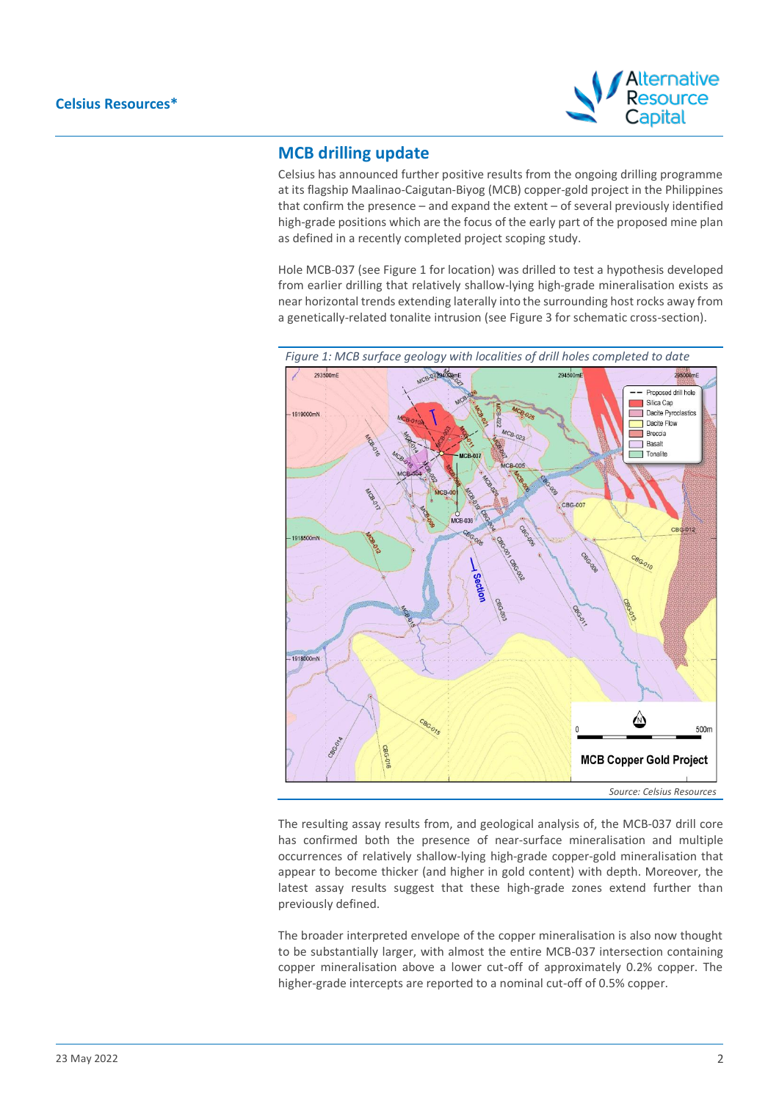

## **MCB drilling update**

Celsius has announced further positive results from the ongoing drilling programme at its flagship Maalinao-Caigutan-Biyog (MCB) copper-gold project in the Philippines that confirm the presence – and expand the extent – of several previously identified high-grade positions which are the focus of the early part of the proposed mine plan as defined in a recently completed project scoping study.

Hole MCB-037 (see Figure 1 for location) was drilled to test a hypothesis developed from earlier drilling that relatively shallow-lying high-grade mineralisation exists as near horizontal trends extending laterally into the surrounding host rocks away from a genetically-related tonalite intrusion (see Figure 3 for schematic cross-section).



The resulting assay results from, and geological analysis of, the MCB-037 drill core has confirmed both the presence of near-surface mineralisation and multiple occurrences of relatively shallow-lying high-grade copper-gold mineralisation that appear to become thicker (and higher in gold content) with depth. Moreover, the latest assay results suggest that these high-grade zones extend further than previously defined.

The broader interpreted envelope of the copper mineralisation is also now thought to be substantially larger, with almost the entire MCB-037 intersection containing copper mineralisation above a lower cut-off of approximately 0.2% copper. The higher-grade intercepts are reported to a nominal cut-off of 0.5% copper.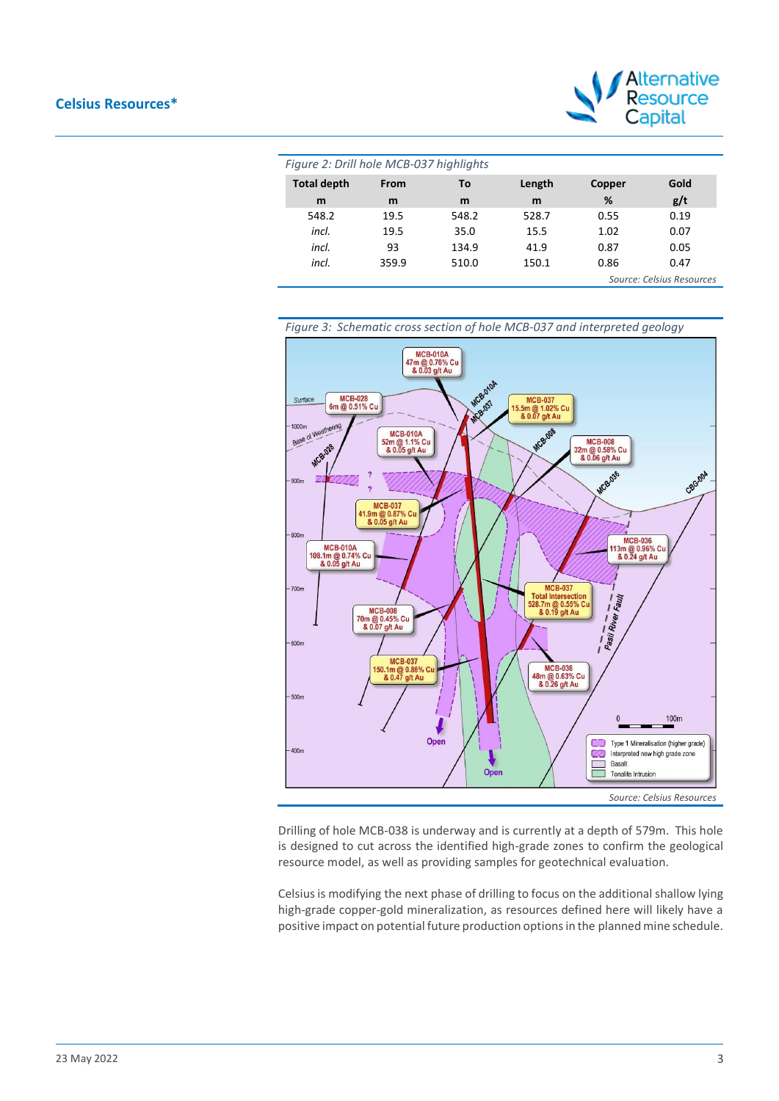#### **Celsius Resources\***



| Figure 2: Drill hole MCB-037 highlights |                           |       |        |        |      |  |  |
|-----------------------------------------|---------------------------|-------|--------|--------|------|--|--|
| <b>Total depth</b>                      | From                      | Τo    | Length | Copper | Gold |  |  |
| m                                       | m                         | m     | m      | %      | g/t  |  |  |
| 548.2                                   | 19.5                      | 548.2 | 528.7  | 0.55   | 0.19 |  |  |
| incl.                                   | 19.5                      | 35.0  | 15.5   | 1.02   | 0.07 |  |  |
| incl.                                   | 93                        | 134.9 | 41.9   | 0.87   | 0.05 |  |  |
| incl.                                   | 359.9                     | 510.0 | 150.1  | 0.86   | 0.47 |  |  |
|                                         | Source: Celsius Resources |       |        |        |      |  |  |



Drilling of hole MCB-038 is underway and is currently at a depth of 579m. This hole is designed to cut across the identified high-grade zones to confirm the geological resource model, as well as providing samples for geotechnical evaluation.

Celsius is modifying the next phase of drilling to focus on the additional shallow lying high-grade copper-gold mineralization, as resources defined here will likely have a positive impact on potential future production options in the planned mine schedule.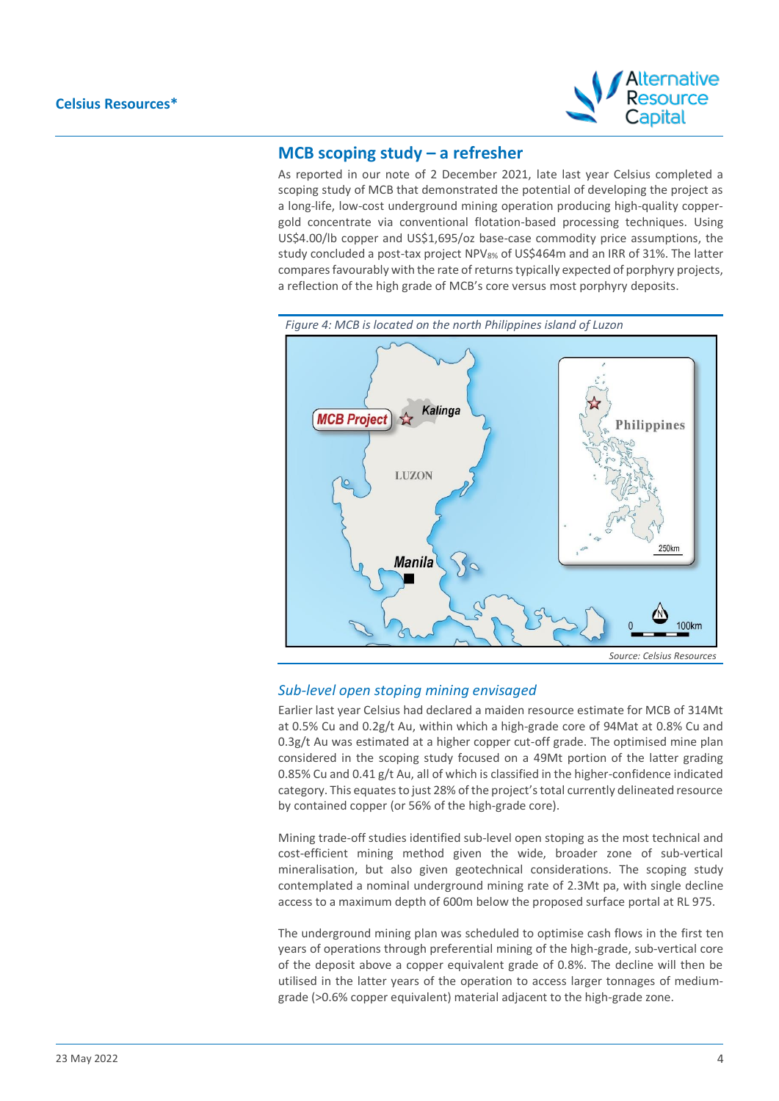

## **MCB scoping study – a refresher**

As reported in our note of 2 December 2021, late last year Celsius completed a scoping study of MCB that demonstrated the potential of developing the project as a long-life, low-cost underground mining operation producing high-quality coppergold concentrate via conventional flotation-based processing techniques. Using US\$4.00/lb copper and US\$1,695/oz base-case commodity price assumptions, the study concluded a post-tax project NPV8% of US\$464m and an IRR of 31%. The latter compares favourably with the rate of returns typically expected of porphyry projects, a reflection of the high grade of MCB's core versus most porphyry deposits.



*Source: Celsius Resources*

#### *Sub-level open stoping mining envisaged*

Earlier last year Celsius had declared a maiden resource estimate for MCB of 314Mt at 0.5% Cu and 0.2g/t Au, within which a high-grade core of 94Mat at 0.8% Cu and 0.3g/t Au was estimated at a higher copper cut-off grade. The optimised mine plan considered in the scoping study focused on a 49Mt portion of the latter grading 0.85% Cu and 0.41 g/t Au, all of which is classified in the higher-confidence indicated category. This equates to just 28% of the project's total currently delineated resource by contained copper (or 56% of the high-grade core).

Mining trade-off studies identified sub-level open stoping as the most technical and cost-efficient mining method given the wide, broader zone of sub-vertical mineralisation, but also given geotechnical considerations. The scoping study contemplated a nominal underground mining rate of 2.3Mt pa, with single decline access to a maximum depth of 600m below the proposed surface portal at RL 975.

The underground mining plan was scheduled to optimise cash flows in the first ten years of operations through preferential mining of the high-grade, sub-vertical core of the deposit above a copper equivalent grade of 0.8%. The decline will then be utilised in the latter years of the operation to access larger tonnages of mediumgrade (>0.6% copper equivalent) material adjacent to the high-grade zone.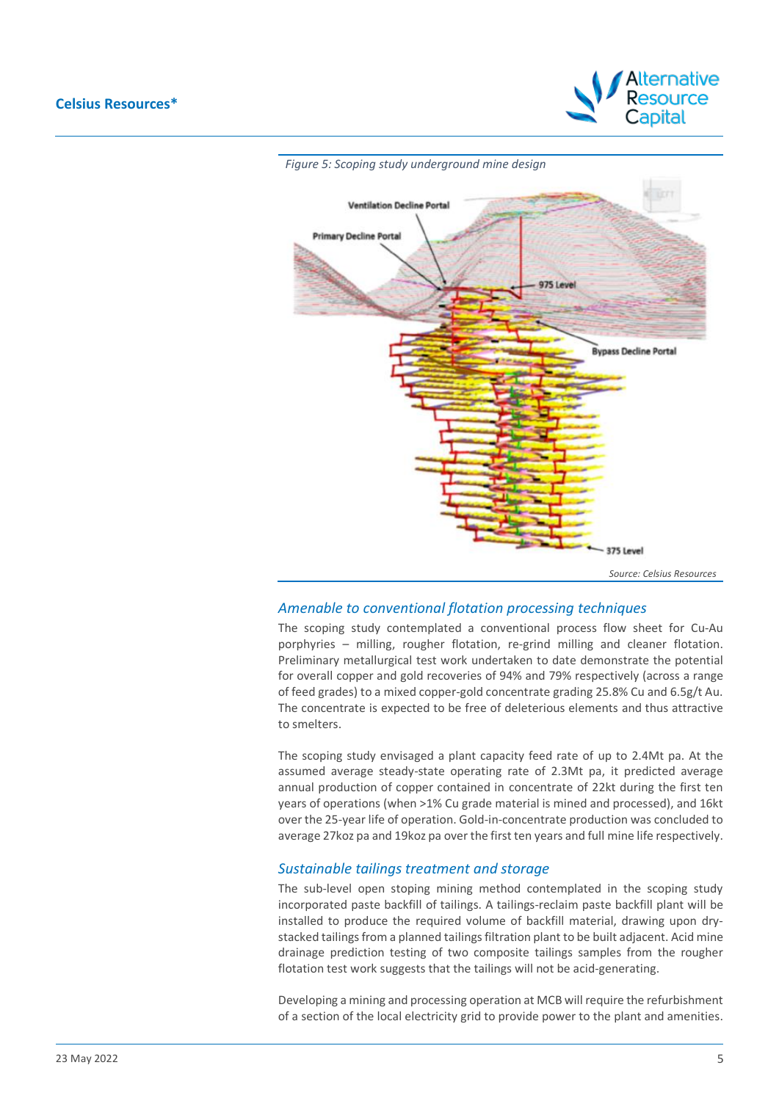



#### *Amenable to conventional flotation processing techniques*

The scoping study contemplated a conventional process flow sheet for Cu-Au porphyries – milling, rougher flotation, re-grind milling and cleaner flotation. Preliminary metallurgical test work undertaken to date demonstrate the potential for overall copper and gold recoveries of 94% and 79% respectively (across a range of feed grades) to a mixed copper-gold concentrate grading 25.8% Cu and 6.5g/t Au. The concentrate is expected to be free of deleterious elements and thus attractive to smelters.

The scoping study envisaged a plant capacity feed rate of up to 2.4Mt pa. At the assumed average steady-state operating rate of 2.3Mt pa, it predicted average annual production of copper contained in concentrate of 22kt during the first ten years of operations (when >1% Cu grade material is mined and processed), and 16kt over the 25-year life of operation. Gold-in-concentrate production was concluded to average 27koz pa and 19koz pa over the first ten years and full mine life respectively.

#### *Sustainable tailings treatment and storage*

The sub-level open stoping mining method contemplated in the scoping study incorporated paste backfill of tailings. A tailings-reclaim paste backfill plant will be installed to produce the required volume of backfill material, drawing upon drystacked tailings from a planned tailings filtration plant to be built adjacent. Acid mine drainage prediction testing of two composite tailings samples from the rougher flotation test work suggests that the tailings will not be acid-generating.

Developing a mining and processing operation at MCB will require the refurbishment of a section of the local electricity grid to provide power to the plant and amenities.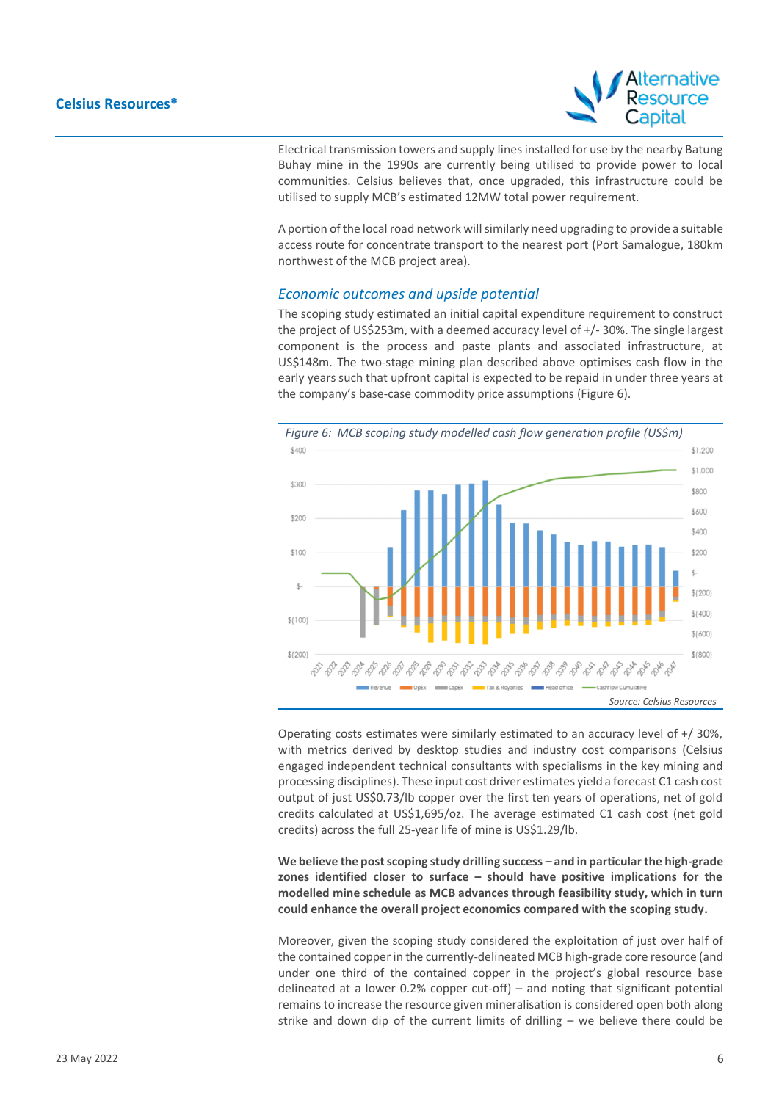

Electrical transmission towers and supply lines installed for use by the nearby Batung Buhay mine in the 1990s are currently being utilised to provide power to local communities. Celsius believes that, once upgraded, this infrastructure could be utilised to supply MCB's estimated 12MW total power requirement.

A portion of the local road network will similarly need upgrading to provide a suitable access route for concentrate transport to the nearest port (Port Samalogue, 180km northwest of the MCB project area).

#### *Economic outcomes and upside potential*

The scoping study estimated an initial capital expenditure requirement to construct the project of US\$253m, with a deemed accuracy level of +/- 30%. The single largest component is the process and paste plants and associated infrastructure, at US\$148m. The two-stage mining plan described above optimises cash flow in the early years such that upfront capital is expected to be repaid in under three years at the company's base-case commodity price assumptions (Figure 6).



Operating costs estimates were similarly estimated to an accuracy level of +/ 30%, with metrics derived by desktop studies and industry cost comparisons (Celsius engaged independent technical consultants with specialisms in the key mining and processing disciplines). These input cost driver estimates yield a forecast C1 cash cost output of just US\$0.73/lb copper over the first ten years of operations, net of gold credits calculated at US\$1,695/oz. The average estimated C1 cash cost (net gold credits) across the full 25-year life of mine is US\$1.29/lb.

**We believe the post scoping study drilling success – and in particular the high-grade zones identified closer to surface – should have positive implications for the modelled mine schedule as MCB advances through feasibility study, which in turn could enhance the overall project economics compared with the scoping study.**

Moreover, given the scoping study considered the exploitation of just over half of the contained copper in the currently-delineated MCB high-grade core resource (and under one third of the contained copper in the project's global resource base delineated at a lower 0.2% copper cut-off) – and noting that significant potential remains to increase the resource given mineralisation is considered open both along strike and down dip of the current limits of drilling – we believe there could be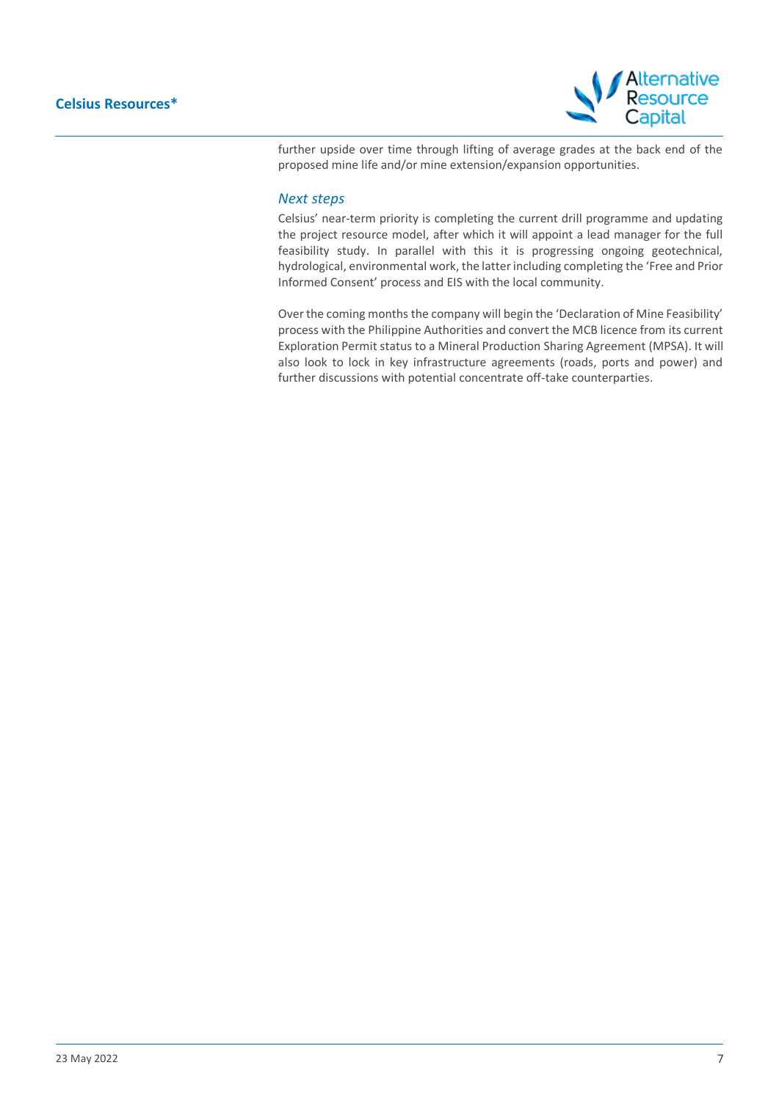

further upside over time through lifting of average grades at the back end of the proposed mine life and/or mine extension/expansion opportunities.

#### *Next steps*

Celsius' near-term priority is completing the current drill programme and updating the project resource model, after which it will appoint a lead manager for the full feasibility study. In parallel with this it is progressing ongoing geotechnical, hydrological, environmental work, the latter including completing the 'Free and Prior Informed Consent' process and EIS with the local community.

Over the coming months the company will begin the 'Declaration of Mine Feasibility' process with the Philippine Authorities and convert the MCB licence from its current Exploration Permit status to a Mineral Production Sharing Agreement (MPSA). It will also look to lock in key infrastructure agreements (roads, ports and power) and further discussions with potential concentrate off-take counterparties.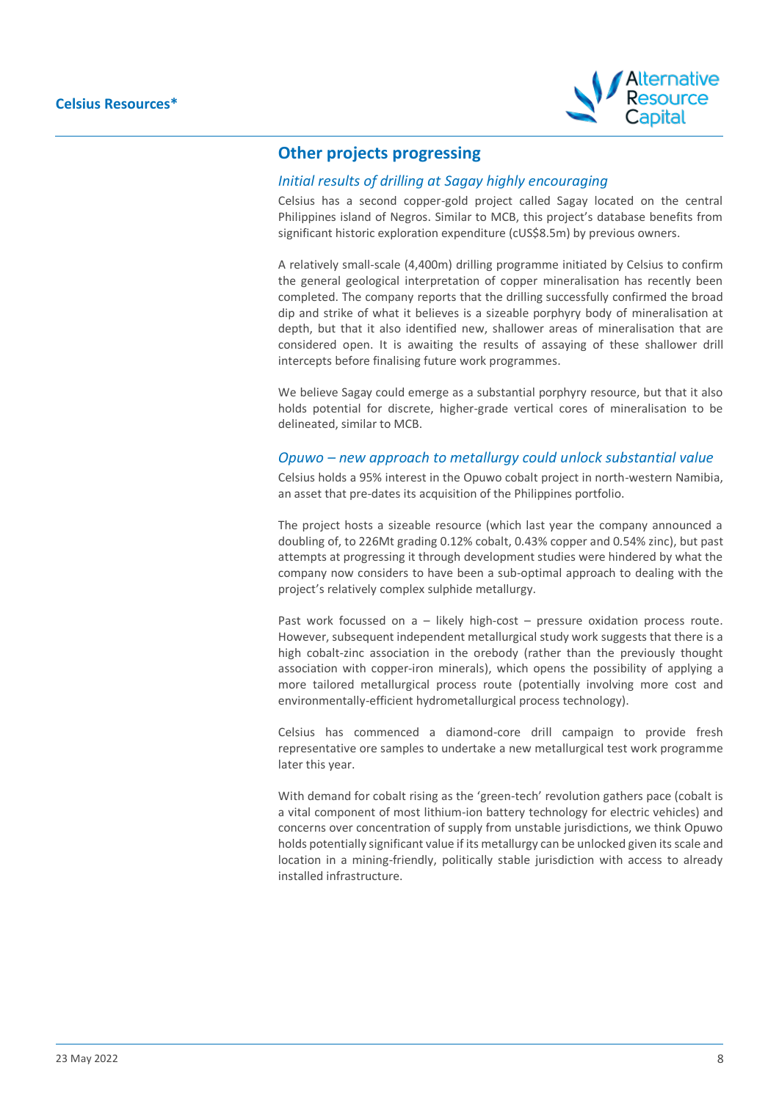

## **Other projects progressing**

### *Initial results of drilling at Sagay highly encouraging*

Celsius has a second copper-gold project called Sagay located on the central Philippines island of Negros. Similar to MCB, this project's database benefits from significant historic exploration expenditure (cUS\$8.5m) by previous owners.

A relatively small-scale (4,400m) drilling programme initiated by Celsius to confirm the general geological interpretation of copper mineralisation has recently been completed. The company reports that the drilling successfully confirmed the broad dip and strike of what it believes is a sizeable porphyry body of mineralisation at depth, but that it also identified new, shallower areas of mineralisation that are considered open. It is awaiting the results of assaying of these shallower drill intercepts before finalising future work programmes.

We believe Sagay could emerge as a substantial porphyry resource, but that it also holds potential for discrete, higher-grade vertical cores of mineralisation to be delineated, similar to MCB.

#### *Opuwo – new approach to metallurgy could unlock substantial value*

Celsius holds a 95% interest in the Opuwo cobalt project in north-western Namibia, an asset that pre-dates its acquisition of the Philippines portfolio.

The project hosts a sizeable resource (which last year the company announced a doubling of, to 226Mt grading 0.12% cobalt, 0.43% copper and 0.54% zinc), but past attempts at progressing it through development studies were hindered by what the company now considers to have been a sub-optimal approach to dealing with the project's relatively complex sulphide metallurgy.

Past work focussed on a - likely high-cost - pressure oxidation process route. However, subsequent independent metallurgical study work suggests that there is a high cobalt-zinc association in the orebody (rather than the previously thought association with copper-iron minerals), which opens the possibility of applying a more tailored metallurgical process route (potentially involving more cost and environmentally-efficient hydrometallurgical process technology).

Celsius has commenced a diamond-core drill campaign to provide fresh representative ore samples to undertake a new metallurgical test work programme later this year.

With demand for cobalt rising as the 'green-tech' revolution gathers pace (cobalt is a vital component of most lithium-ion battery technology for electric vehicles) and concerns over concentration of supply from unstable jurisdictions, we think Opuwo holds potentially significant value if its metallurgy can be unlocked given its scale and location in a mining-friendly, politically stable jurisdiction with access to already installed infrastructure.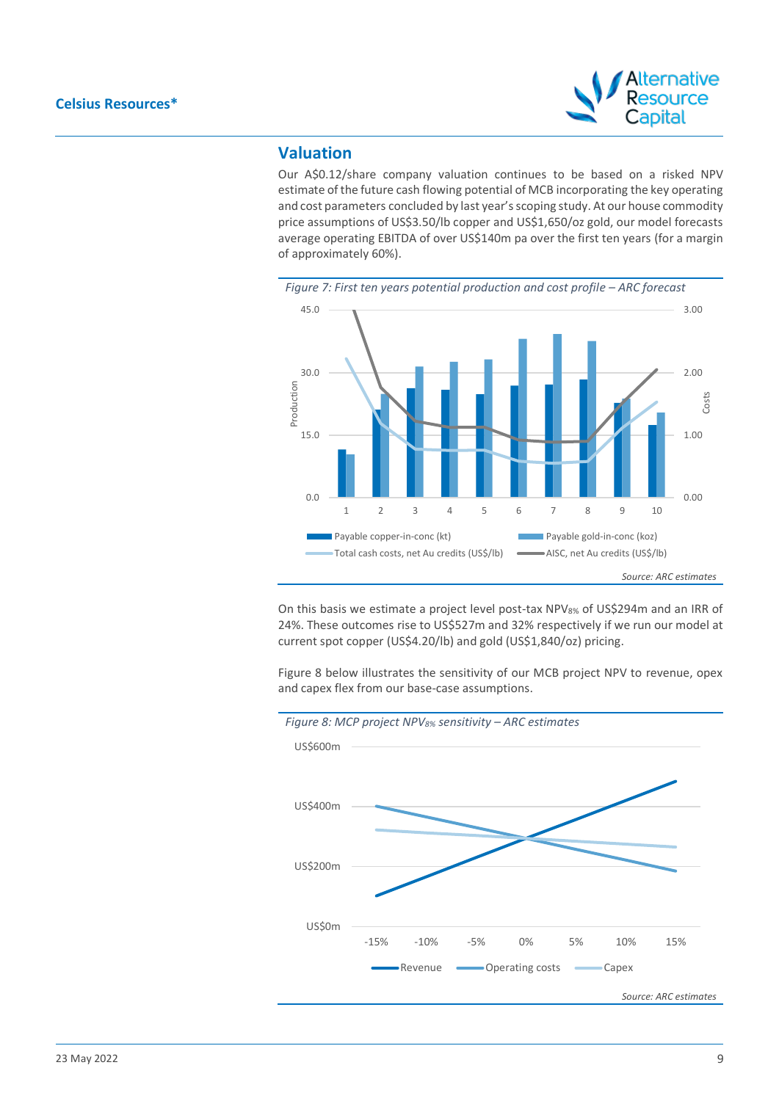

## **Valuation**

Our A\$0.12/share company valuation continues to be based on a risked NPV estimate of the future cash flowing potential of MCB incorporating the key operating and cost parameters concluded by last year's scoping study. At our house commodity price assumptions of US\$3.50/lb copper and US\$1,650/oz gold, our model forecasts average operating EBITDA of over US\$140m pa over the first ten years (for a margin of approximately 60%).



On this basis we estimate a project level post-tax NPV<sub>8%</sub> of US\$294m and an IRR of 24%. These outcomes rise to US\$527m and 32% respectively if we run our model at current spot copper (US\$4.20/lb) and gold (US\$1,840/oz) pricing.

Figure 8 below illustrates the sensitivity of our MCB project NPV to revenue, opex and capex flex from our base-case assumptions.

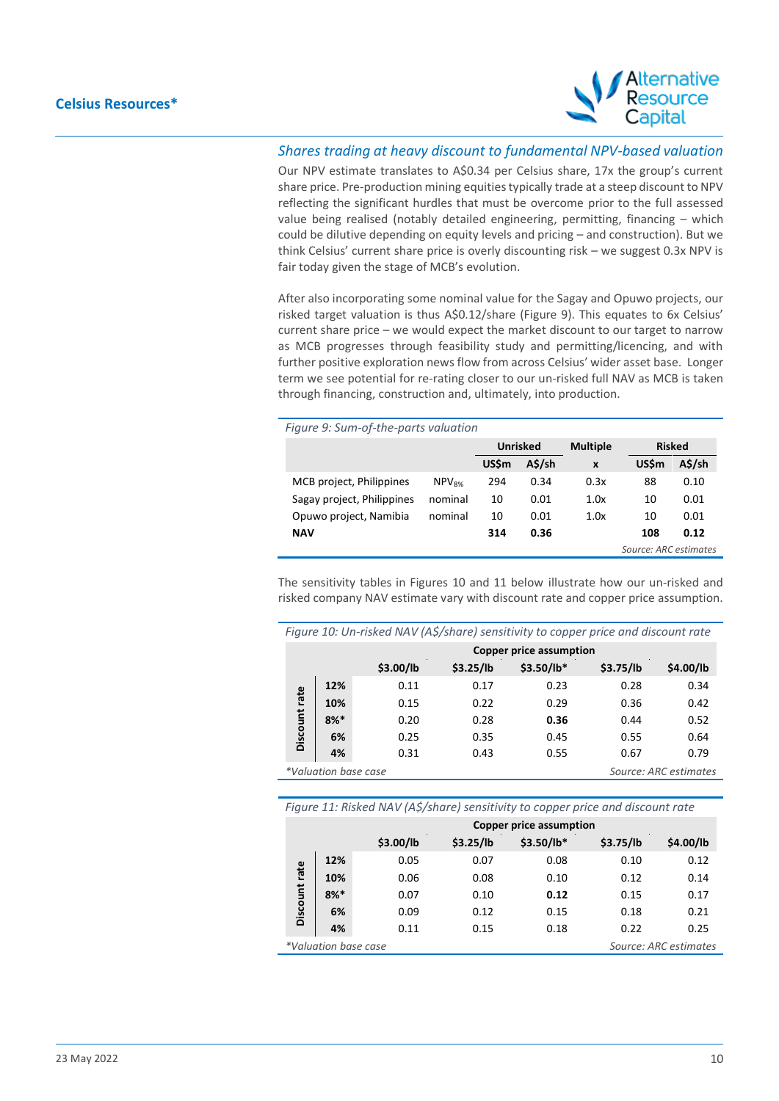

### *Shares trading at heavy discount to fundamental NPV-based valuation*

Our NPV estimate translates to A\$0.34 per Celsius share, 17x the group's current share price. Pre-production mining equities typically trade at a steep discount to NPV reflecting the significant hurdles that must be overcome prior to the full assessed value being realised (notably detailed engineering, permitting, financing – which could be dilutive depending on equity levels and pricing – and construction). But we think Celsius' current share price is overly discounting risk – we suggest 0.3x NPV is fair today given the stage of MCB's evolution.

After also incorporating some nominal value for the Sagay and Opuwo projects, our risked target valuation is thus A\$0.12/share (Figure 9). This equates to 6x Celsius' current share price – we would expect the market discount to our target to narrow as MCB progresses through feasibility study and permitting/licencing, and with further positive exploration news flow from across Celsius' wider asset base. Longer term we see potential for re-rating closer to our un-risked full NAV as MCB is taken through financing, construction and, ultimately, into production.

| Figure 9: Sum-of-the-parts valuation |                   |                       |        |      |              |        |  |                 |               |  |
|--------------------------------------|-------------------|-----------------------|--------|------|--------------|--------|--|-----------------|---------------|--|
|                                      |                   | <b>Unrisked</b>       |        |      |              |        |  | <b>Multiple</b> | <b>Risked</b> |  |
|                                      |                   | US\$m                 | A\$/sh | X    | <b>US\$m</b> | A\$/sh |  |                 |               |  |
| MCB project, Philippines             | NPV <sub>8%</sub> | 294                   | 0.34   | 0.3x | 88           | 0.10   |  |                 |               |  |
| Sagay project, Philippines           | nominal           | 10                    | 0.01   | 1.0x | 10           | 0.01   |  |                 |               |  |
| Opuwo project, Namibia               | nominal           | 10                    | 0.01   | 1.0x | 10           | 0.01   |  |                 |               |  |
| <b>NAV</b>                           |                   | 314                   | 0.36   |      | 108          | 0.12   |  |                 |               |  |
|                                      |                   | Source: ARC estimates |        |      |              |        |  |                 |               |  |

The sensitivity tables in Figures 10 and 11 below illustrate how our un-risked and risked company NAV estimate vary with discount rate and copper price assumption.

| Figure 10: Un-risked NAV (A\$/share) sensitivity to copper price and discount rate |                         |           |           |             |           |           |  |  |
|------------------------------------------------------------------------------------|-------------------------|-----------|-----------|-------------|-----------|-----------|--|--|
|                                                                                    | Copper price assumption |           |           |             |           |           |  |  |
|                                                                                    |                         | \$3.00/lb | \$3.25/lb | $$3.50/lb*$ | \$3.75/lb | \$4.00/lb |  |  |
|                                                                                    | 12%                     | 0.11      | 0.17      | 0.23        | 0.28      | 0.34      |  |  |
| Discount rate                                                                      | 10%                     | 0.15      | 0.22      | 0.29        | 0.36      | 0.42      |  |  |
|                                                                                    | $8%$ *                  | 0.20      | 0.28      | 0.36        | 0.44      | 0.52      |  |  |
|                                                                                    | 6%                      | 0.25      | 0.35      | 0.45        | 0.55      | 0.64      |  |  |
|                                                                                    | 4%                      | 0.31      | 0.43      | 0.55        | 0.67      | 0.79      |  |  |
| *Valuation base case<br>Source: ARC estimates                                      |                         |           |           |             |           |           |  |  |

*Figure 11: Risked NAV (A\$/share) sensitivity to copper price and discount rate*

|                                               |        | Copper price assumption |           |             |           |           |  |  |
|-----------------------------------------------|--------|-------------------------|-----------|-------------|-----------|-----------|--|--|
|                                               |        | \$3.00/lb               | \$3.25/lb | $$3.50/lb*$ | \$3.75/lb | \$4.00/lb |  |  |
|                                               | 12%    | 0.05                    | 0.07      | 0.08        | 0.10      | 0.12      |  |  |
| rate                                          | 10%    | 0.06                    | 0.08      | 0.10        | 0.12      | 0.14      |  |  |
| Discount                                      | $8%$ * | 0.07                    | 0.10      | 0.12        | 0.15      | 0.17      |  |  |
|                                               | 6%     | 0.09                    | 0.12      | 0.15        | 0.18      | 0.21      |  |  |
|                                               | 4%     | 0.11                    | 0.15      | 0.18        | 0.22      | 0.25      |  |  |
| *Valuation base case<br>Source: ARC estimates |        |                         |           |             |           |           |  |  |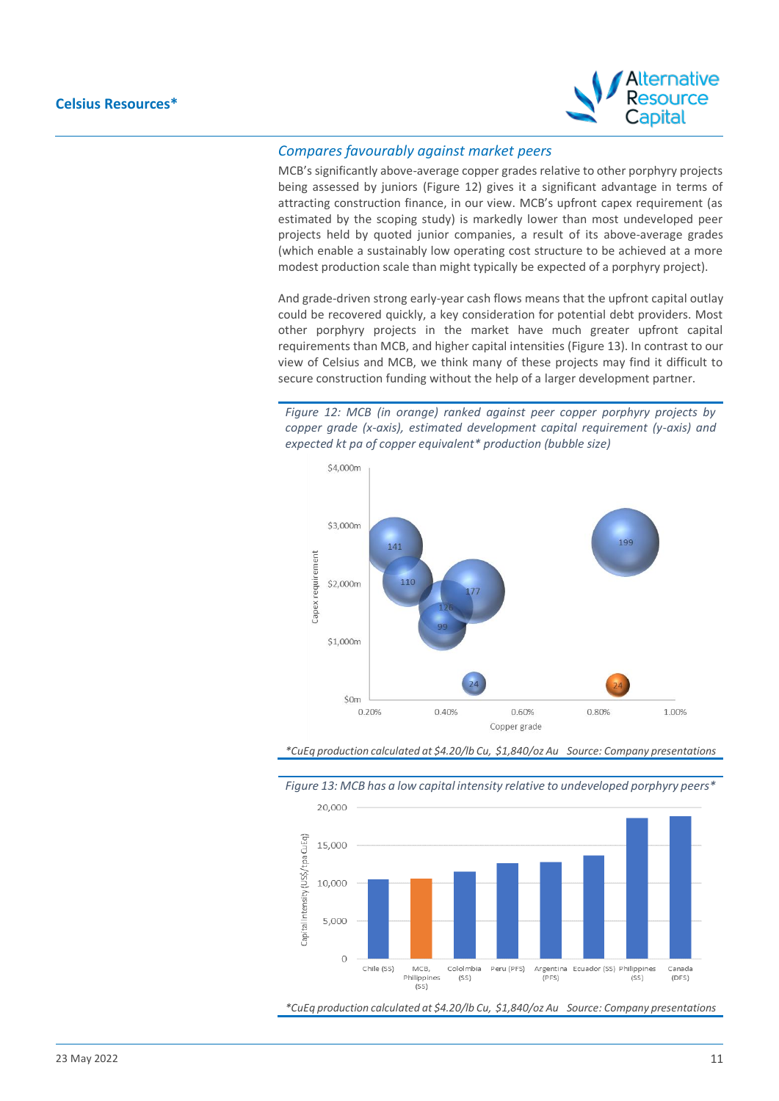

## *Compares favourably against market peers*

MCB's significantly above-average copper grades relative to other porphyry projects being assessed by juniors (Figure 12) gives it a significant advantage in terms of attracting construction finance, in our view. MCB's upfront capex requirement (as estimated by the scoping study) is markedly lower than most undeveloped peer projects held by quoted junior companies, a result of its above-average grades (which enable a sustainably low operating cost structure to be achieved at a more modest production scale than might typically be expected of a porphyry project).

And grade-driven strong early-year cash flows means that the upfront capital outlay could be recovered quickly, a key consideration for potential debt providers. Most other porphyry projects in the market have much greater upfront capital requirements than MCB, and higher capital intensities (Figure 13). In contrast to our view of Celsius and MCB, we think many of these projects may find it difficult to secure construction funding without the help of a larger development partner.

*Figure 12: MCB (in orange) ranked against peer copper porphyry projects by copper grade (x-axis), estimated development capital requirement (y-axis) and expected kt pa of copper equivalent\* production (bubble size)*







*Figure 13: MCB has a low capital intensity relative to undeveloped porphyry peers\**

*\*CuEq production calculated at \$4.20/lb Cu, \$1,840/oz Au Source: Company presentations*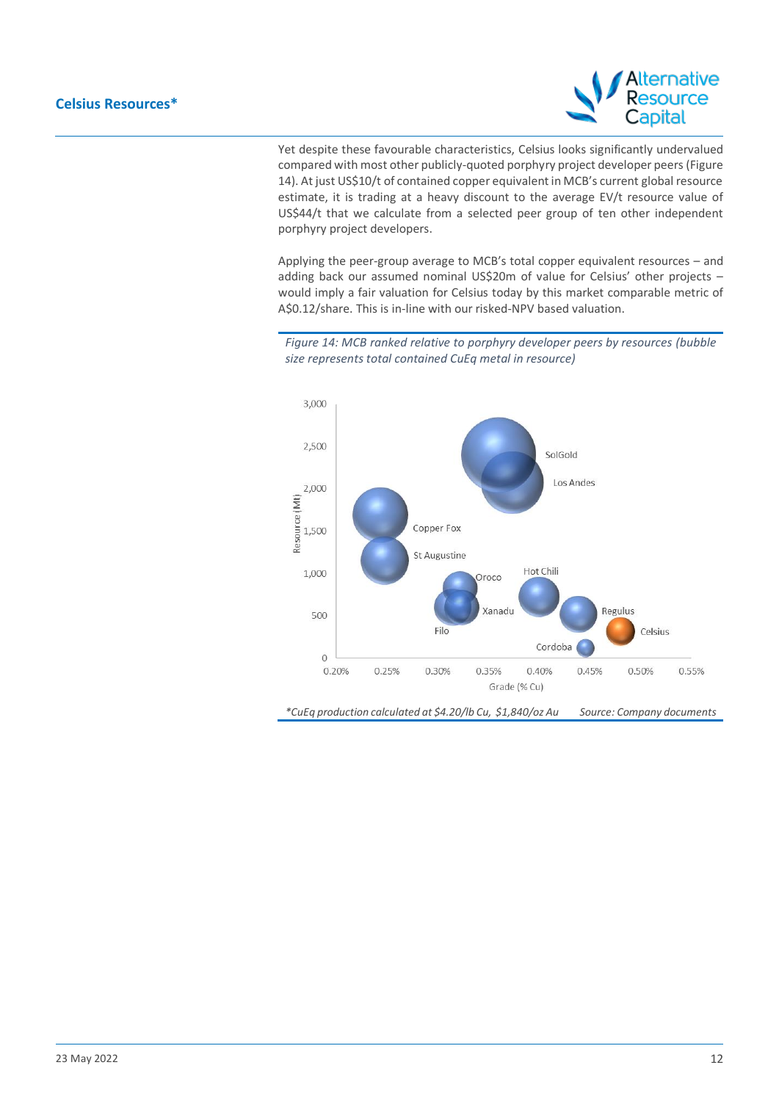

Yet despite these favourable characteristics, Celsius looks significantly undervalued compared with most other publicly-quoted porphyry project developer peers (Figure 14). At just US\$10/t of contained copper equivalent in MCB's current global resource estimate, it is trading at a heavy discount to the average EV/t resource value of US\$44/t that we calculate from a selected peer group of ten other independent porphyry project developers.

Applying the peer-group average to MCB's total copper equivalent resources – and adding back our assumed nominal US\$20m of value for Celsius' other projects – would imply a fair valuation for Celsius today by this market comparable metric of A\$0.12/share. This is in-line with our risked-NPV based valuation.

*Figure 14: MCB ranked relative to porphyry developer peers by resources (bubble size represents total contained CuEq metal in resource)* 



*\*CuEq production calculated at \$4.20/lb Cu, \$1,840/oz Au Source: Company documents*